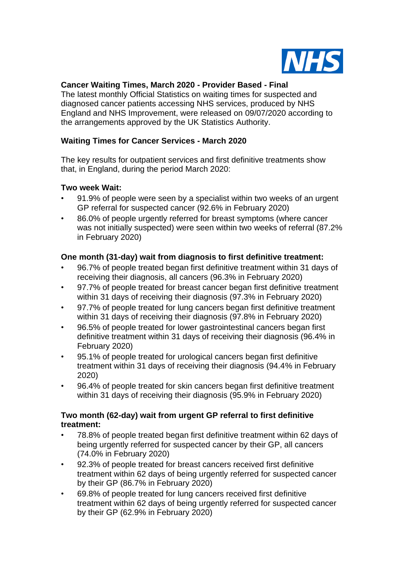

## **Cancer Waiting Times, March 2020 - Provider Based - Final**

The latest monthly Official Statistics on waiting times for suspected and diagnosed cancer patients accessing NHS services, produced by NHS England and NHS Improvement, were released on 09/07/2020 according to the arrangements approved by the UK Statistics Authority.

# **Waiting Times for Cancer Services - March 2020**

The key results for outpatient services and first definitive treatments show that, in England, during the period March 2020:

#### **Two week Wait:**

- 91.9% of people were seen by a specialist within two weeks of an urgent GP referral for suspected cancer (92.6% in February 2020)
- 86.0% of people urgently referred for breast symptoms (where cancer was not initially suspected) were seen within two weeks of referral (87.2% in February 2020)

## **One month (31-day) wait from diagnosis to first definitive treatment:**

- 96.7% of people treated began first definitive treatment within 31 days of receiving their diagnosis, all cancers (96.3% in February 2020)
- 97.7% of people treated for breast cancer began first definitive treatment within 31 days of receiving their diagnosis (97.3% in February 2020)
- 97.7% of people treated for lung cancers began first definitive treatment within 31 days of receiving their diagnosis (97.8% in February 2020)
- 96.5% of people treated for lower gastrointestinal cancers began first definitive treatment within 31 days of receiving their diagnosis (96.4% in February 2020)
- 95.1% of people treated for urological cancers began first definitive treatment within 31 days of receiving their diagnosis (94.4% in February 2020)
- 96.4% of people treated for skin cancers began first definitive treatment within 31 days of receiving their diagnosis (95.9% in February 2020)

## **Two month (62-day) wait from urgent GP referral to first definitive treatment:**

- 78.8% of people treated began first definitive treatment within 62 days of being urgently referred for suspected cancer by their GP, all cancers (74.0% in February 2020)
- 92.3% of people treated for breast cancers received first definitive treatment within 62 days of being urgently referred for suspected cancer by their GP (86.7% in February 2020)
- 69.8% of people treated for lung cancers received first definitive treatment within 62 days of being urgently referred for suspected cancer by their GP (62.9% in February 2020)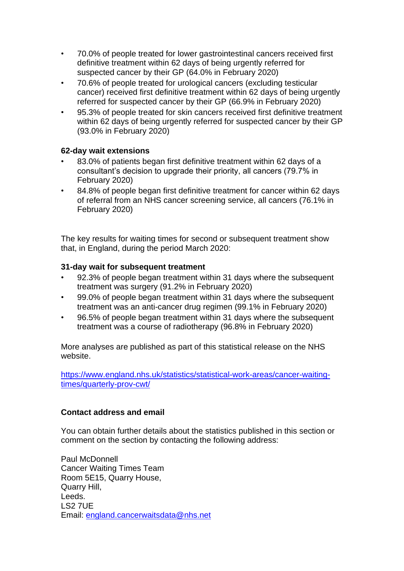- 70.0% of people treated for lower gastrointestinal cancers received first definitive treatment within 62 days of being urgently referred for suspected cancer by their GP (64.0% in February 2020)
- 70.6% of people treated for urological cancers (excluding testicular cancer) received first definitive treatment within 62 days of being urgently referred for suspected cancer by their GP (66.9% in February 2020)
- 95.3% of people treated for skin cancers received first definitive treatment within 62 days of being urgently referred for suspected cancer by their GP (93.0% in February 2020)

#### **62-day wait extensions**

- 83.0% of patients began first definitive treatment within 62 days of a consultant's decision to upgrade their priority, all cancers (79.7% in February 2020)
- 84.8% of people began first definitive treatment for cancer within 62 days of referral from an NHS cancer screening service, all cancers (76.1% in February 2020)

The key results for waiting times for second or subsequent treatment show that, in England, during the period March 2020:

## **31-day wait for subsequent treatment**

- 92.3% of people began treatment within 31 days where the subsequent treatment was surgery (91.2% in February 2020)
- 99.0% of people began treatment within 31 days where the subsequent treatment was an anti-cancer drug regimen (99.1% in February 2020)
- 96.5% of people began treatment within 31 days where the subsequent treatment was a course of radiotherapy (96.8% in February 2020)

More analyses are published as part of this statistical release on the NHS website.

[https://www.england.nhs.uk/statistics/statistical-work-areas/cancer-waiting](https://www.england.nhs.uk/statistics/statistical-work-areas/cancer-waiting-times/quarterly-prov-cwt/)[times/quarterly-prov-cwt/](https://www.england.nhs.uk/statistics/statistical-work-areas/cancer-waiting-times/quarterly-prov-cwt/)

#### **Contact address and email**

You can obtain further details about the statistics published in this section or comment on the section by contacting the following address:

Paul McDonnell Cancer Waiting Times Team Room 5E15, Quarry House, Quarry Hill, Leeds. LS2 7UE Email: [england.cancerwaitsdata@nhs.net](mailto:england.cancerwaitsdata@nhs.net)